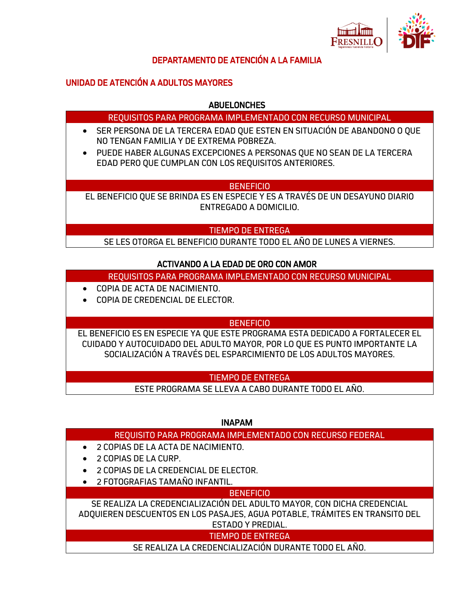

#### DEPARTAMENTO DE ATENCIÓN A LA FAMILIA

## UNIDAD DE ATENCIÓN A ADULTOS MAYORES

#### **ABUELONCHES**

#### REQUISITOS PARA PROGRAMA IMPLEMENTADO CON RECURSO MUNICIPAL

- SER PERSONA DE LA TERCERA EDAD QUE ESTEN EN SITUACIÓN DE ABANDONO O QUE NO TENGAN FAMILIA Y DE EXTREMA POBREZA.
- PUEDE HABER ALGUNAS EXCEPCIONES A PERSONAS QUE NO SEAN DE LA TERCERA EDAD PERO QUE CUMPLAN CON LOS REQUISITOS ANTERIORES.

#### **BENEFICIO**

EL BENEFICIO QUE SE BRINDA ES EN ESPECIE Y ES A TRAVÉS DE UN DESAYUNO DIARIO ENTREGADO A DOMICILIO.

#### TIEMPO DE ENTREGA

SE LES OTORGA EL BENEFICIO DURANTE TODO EL AÑO DE LUNES A VIERNES.

## ACTIVANDO A LA EDAD DE ORO CON AMOR

REQUISITOS PARA PROGRAMA IMPLEMENTADO CON RECURSO MUNICIPAL

- COPIA DE ACTA DE NACIMIENTO.
- COPIA DE CREDENCIAL DE ELECTOR.

## BENEFICIO

EL BENEFICIO ES EN ESPECIE YA QUE ESTE PROGRAMA ESTA DEDICADO A FORTALECER EL CUIDADO Y AUTOCUIDADO DEL ADULTO MAYOR, POR LO QUE ES PUNTO IMPORTANTE LA SOCIALIZACIÓN A TRAVÉS DEL ESPARCIMIENTO DE LOS ADULTOS MAYORES.

#### TIEMPO DE ENTREGA

ESTE PROGRAMA SE LLEVA A CABO DURANTE TODO EL AÑO.

INAPAM

## REQUISITO PARA PROGRAMA IMPLEMENTADO CON RECURSO FEDERAL

- 2 COPIAS DE LA ACTA DE NACIMIENTO.
- 2 COPIAS DE LA CURP.
- 2 COPIAS DE LA CREDENCIAL DE ELECTOR.
- 2 FOTOGRAFIAS TAMAÑO INFANTIL.

## **BENEFICIO**

SE REALIZA LA CREDENCIALIZACIÓN DEL ADULTO MAYOR, CON DICHA CREDENCIAL ADQUIEREN DESCUENTOS EN LOS PASAJES, AGUA POTABLE, TRÁMITES EN TRANSITO DEL ESTADO Y PREDIAL.

## TIEMPO DE ENTREGA

SE REALIZA LA CREDENCIALIZACIÓN DURANTE TODO EL AÑO.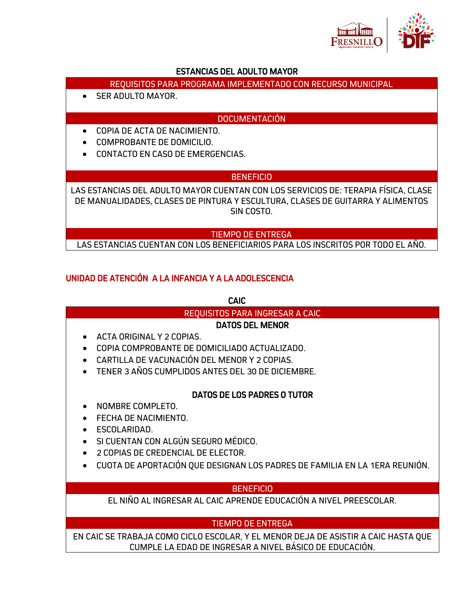

## ESTANCIAS DEL ADULTO MAYOR

- REQUISITOS PARA PROGRAMA IMPLEMENTADO CON RECURSO MUNICIPAL
- **SER ADULTO MAYOR**

## **DOCUMENTACIÓN**

- COPIA DE ACTA DE NACIMIENTO.
- COMPROBANTE DE DOMICILIO.
- CONTACTO EN CASO DE EMERGENCIAS.

## BENEFICIO

LAS ESTANCIAS DEL ADULTO MAYOR CUENTAN CON LOS SERVICIOS DE: TERAPIA FÍSICA, CLASE DE MANUALIDADES, CLASES DE PINTURA Y ESCULTURA, CLASES DE GUITARRA Y ALIMENTOS SIN COSTO.

#### TIEMPO DE ENTREGA

LAS ESTANCIAS CUENTAN CON LOS BENEFICIARIOS PARA LOS INSCRITOS POR TODO EL AÑO.

# UNIDAD DE ATENCIÓN A LA INFANCIA Y A LA ADOLESCENCIA

CAIC

## REQUISITOS PARA INGRESAR A CAIC

## DATOS DEL MENOR

- ACTA ORIGINAL Y 2 COPIAS.
- COPIA COMPROBANTE DE DOMICILIADO ACTUALIZADO.
- CARTILLA DE VACUNACIÓN DEL MENOR Y 2 COPIAS.
- TENER 3 AÑOS CUMPLIDOS ANTES DEL 30 DE DICIEMBRE.

## DATOS DE LOS PADRES O TUTOR

- NOMBRE COMPLETO.
- FECHA DE NACIMIENTO.
- ESCOLARIDAD.
- SI CUENTAN CON ALGÚN SEGURO MÉDICO.
- 2 COPIAS DE CREDENCIAL DE ELECTOR.
- CUOTA DE APORTACIÓN QUE DESIGNAN LOS PADRES DE FAMILIA EN LA 1ERA REUNIÓN.

## **BENEFICIO**

EL NIÑO AL INGRESAR AL CAIC APRENDE EDUCACIÓN A NIVEL PREESCOLAR.

## TIEMPO DE ENTREGA

EN CAIC SE TRABAJA COMO CICLO ESCOLAR, Y EL MENOR DEJA DE ASISTIR A CAIC HASTA QUE CUMPLE LA EDAD DE INGRESAR A NIVEL BÁSICO DE EDUCACIÓN.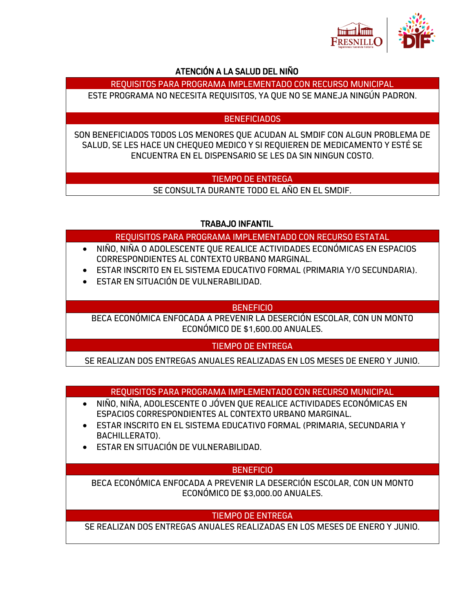

# ATENCIÓN A LA SALUD DEL NIÑO

REQUISITOS PARA PROGRAMA IMPLEMENTADO CON RECURSO MUNICIPAL

ESTE PROGRAMA NO NECESITA REQUISITOS, YA QUE NO SE MANEJA NINGÚN PADRON.

## BENEFICIADOS

SON BENEFICIADOS TODOS LOS MENORES QUE ACUDAN AL SMDIF CON ALGUN PROBLEMA DE SALUD, SE LES HACE UN CHEQUEO MEDICO Y SI REQUIEREN DE MEDICAMENTO Y ESTÉ SE ENCUENTRA EN EL DISPENSARIO SE LES DA SIN NINGUN COSTO.

# TIEMPO DE ENTREGA

SE CONSULTA DURANTE TODO EL AÑO EN EL SMDIF.

# TRABAJO INFANTIL

REQUISITOS PARA PROGRAMA IMPLEMENTADO CON RECURSO ESTATAL

- NIÑO, NIÑA O ADOLESCENTE QUE REALICE ACTIVIDADES ECONÓMICAS EN ESPACIOS CORRESPONDIENTES AL CONTEXTO URBANO MARGINAL.
- ESTAR INSCRITO EN EL SISTEMA EDUCATIVO FORMAL (PRIMARIA Y/O SECUNDARIA).
- ESTAR EN SITUACIÓN DE VULNERABILIDAD.

# **BENEFICIO**

BECA ECONÓMICA ENFOCADA A PREVENIR LA DESERCIÓN ESCOLAR, CON UN MONTO ECONÓMICO DE \$1,600.00 ANUALES.

## TIEMPO DE ENTREGA

SE REALIZAN DOS ENTREGAS ANUALES REALIZADAS EN LOS MESES DE ENERO Y JUNIO.

REQUISITOS PARA PROGRAMA IMPLEMENTADO CON RECURSO MUNICIPAL

- NIÑO, NIÑA, ADOLESCENTE O JÓVEN QUE REALICE ACTIVIDADES ECONÓMICAS EN ESPACIOS CORRESPONDIENTES AL CONTEXTO URBANO MARGINAL.
- ESTAR INSCRITO EN EL SISTEMA EDUCATIVO FORMAL (PRIMARIA, SECUNDARIA Y BACHILLERATO).
- ESTAR EN SITUACIÓN DE VULNERABILIDAD.

## **BENEFICIO**

BECA ECONÓMICA ENFOCADA A PREVENIR LA DESERCIÓN ESCOLAR, CON UN MONTO ECONÓMICO DE \$3,000.00 ANUALES.

# TIEMPO DE ENTREGA

SE REALIZAN DOS ENTREGAS ANUALES REALIZADAS EN LOS MESES DE ENERO Y JUNIO.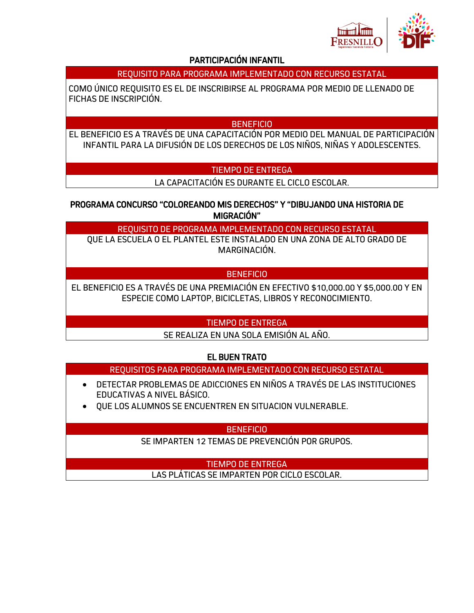

## PARTICIPACIÓN INFANTIL

## REQUISITO PARA PROGRAMA IMPLEMENTADO CON RECURSO ESTATAL

COMO ÚNICO REQUISITO ES EL DE INSCRIBIRSE AL PROGRAMA POR MEDIO DE LLENADO DE FICHAS DE INSCRIPCIÓN.

#### BENEFICIO

EL BENEFICIO ES A TRAVÉS DE UNA CAPACITACIÓN POR MEDIO DEL MANUAL DE PARTICIPACIÓN INFANTIL PARA LA DIFUSIÓN DE LOS DERECHOS DE LOS NIÑOS, NIÑAS Y ADOLESCENTES.

## TIEMPO DE ENTREGA

LA CAPACITACIÓN ES DURANTE EL CICLO ESCOLAR.

PROGRAMA CONCURSO "COLOREANDO MIS DERECHOS" Y "DIBUJANDO UNA HISTORIA DE MIGRACIÓN"

REQUISITO DE PROGRAMA IMPLEMENTADO CON RECURSO ESTATAL

QUE LA ESCUELA O EL PLANTEL ESTE INSTALADO EN UNA ZONA DE ALTO GRADO DE MARGINACIÓN.

## **BENEFICIO**

EL BENEFICIO ES A TRAVÉS DE UNA PREMIACIÓN EN EFECTIVO \$10,000.00 Y \$5,000.00 Y EN ESPECIE COMO LAPTOP, BICICLETAS, LIBROS Y RECONOCIMIENTO.

## TIEMPO DE ENTREGA

SE REALIZA EN UNA SOLA EMISIÓN AL AÑO.

## EL BUEN TRATO

- REQUISITOS PARA PROGRAMA IMPLEMENTADO CON RECURSO ESTATAL
- DETECTAR PROBLEMAS DE ADICCIONES EN NIÑOS A TRAVÉS DE LAS INSTITUCIONES EDUCATIVAS A NIVEL BÁSICO.
- QUE LOS ALUMNOS SE ENCUENTREN EN SITUACION VULNERABLE.

BENEFICIO

SE IMPARTEN 12 TEMAS DE PREVENCIÓN POR GRUPOS.

TIEMPO DE ENTREGA LAS PLÁTICAS SE IMPARTEN POR CICLO ESCOLAR.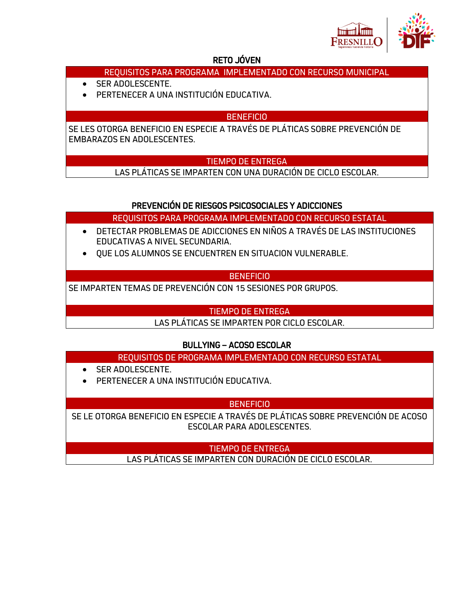

## RETO JÓVEN

# REQUISITOS PARA PROGRAMA IMPLEMENTADO CON RECURSO MUNICIPAL

- SER ADOLESCENTE.
- PERTENECER A UNA INSTITUCIÓN EDUCATIVA.

## BENEFICIO

SE LES OTORGA BENEFICIO EN ESPECIE A TRAVÉS DE PLÁTICAS SOBRE PREVENCIÓN DE EMBARAZOS EN ADOLESCENTES.

## TIEMPO DE ENTREGA

LAS PLÁTICAS SE IMPARTEN CON UNA DURACIÓN DE CICLO ESCOLAR.

## PREVENCIÓN DE RIESGOS PSICOSOCIALES Y ADICCIONES

REQUISITOS PARA PROGRAMA IMPLEMENTADO CON RECURSO ESTATAL

- DETECTAR PROBLEMAS DE ADICCIONES EN NIÑOS A TRAVÉS DE LAS INSTITUCIONES EDUCATIVAS A NIVEL SECUNDARIA.
- QUE LOS ALUMNOS SE ENCUENTREN EN SITUACION VULNERABLE.

## **BENEFICIO**

SE IMPARTEN TEMAS DE PREVENCIÓN CON 15 SESIONES POR GRUPOS.

## TIEMPO DE ENTREGA

LAS PLÁTICAS SE IMPARTEN POR CICLO ESCOLAR.

## BULLYING – ACOSO ESCOLAR

REQUISITOS DE PROGRAMA IMPLEMENTADO CON RECURSO ESTATAL

- SER ADOLESCENTE.
- PERTENECER A UNA INSTITUCIÓN EDUCATIVA.

## **BENEFICIO**

SE LE OTORGA BENEFICIO EN ESPECIE A TRAVÉS DE PLÁTICAS SOBRE PREVENCIÓN DE ACOSO ESCOLAR PARA ADOLESCENTES.

> TIEMPO DE ENTREGA LAS PLÁTICAS SE IMPARTEN CON DURACIÓN DE CICLO ESCOLAR.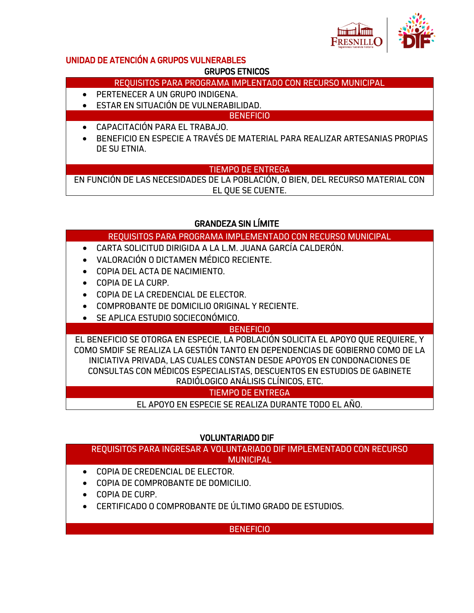

## UNIDAD DE ATENCIÓN A GRUPOS VULNERABLES

## GRUPOS ETNICOS

REQUISITOS PARA PROGRAMA IMPLENTADO CON RECURSO MUNICIPAL

- PERTENECER A UN GRUPO INDIGENA.
- ESTAR EN SITUACIÓN DE VULNERABILIDAD.

**BENEFICIO** 

- CAPACITACIÓN PARA EL TRABAJO.
- BENEFICIO EN ESPECIE A TRAVÉS DE MATERIAL PARA REALIZAR ARTESANIAS PROPIAS DE SU ETNIA.

## TIEMPO DE ENTREGA

EN FUNCIÓN DE LAS NECESIDADES DE LA POBLACIÓN, O BIEN, DEL RECURSO MATERIAL CON EL QUE SE CUENTE.

# GRANDEZA SIN LÍMITE

REQUISITOS PARA PROGRAMA IMPLEMENTADO CON RECURSO MUNICIPAL

- CARTA SOLICITUD DIRIGIDA A LA L.M. JUANA GARCÍA CALDERÓN.
- VALORACIÓN O DICTAMEN MÉDICO RECIENTE.
- COPIA DEL ACTA DE NACIMIENTO.
- COPIA DE LA CURP.
- COPIA DE LA CREDENCIAL DE ELECTOR.
- COMPROBANTE DE DOMICILIO ORIGINAL Y RECIENTE.
- SE APLICA ESTUDIO SOCIECONÓMICO.

## **BENEFICIO**

EL BENEFICIO SE OTORGA EN ESPECIE, LA POBLACIÓN SOLICITA EL APOYO QUE REQUIERE, Y COMO SMDIF SE REALIZA LA GESTIÓN TANTO EN DEPENDENCIAS DE GOBIERNO COMO DE LA INICIATIVA PRIVADA, LAS CUALES CONSTAN DESDE APOYOS EN CONDONACIONES DE CONSULTAS CON MÉDICOS ESPECIALISTAS, DESCUENTOS EN ESTUDIOS DE GABINETE RADIÓLOGICO ANÁLISIS CLÍNICOS, ETC.

TIEMPO DE ENTREGA

EL APOYO EN ESPECIE SE REALIZA DURANTE TODO EL AÑO.

# VOLUNTARIADO DIF

REQUISITOS PARA INGRESAR A VOLUNTARIADO DIF IMPLEMENTADO CON RECURSO **MUNICIPAL** 

- COPIA DE CREDENCIAL DE ELECTOR.
- COPIA DE COMPROBANTE DE DOMICILIO.
- COPIA DE CURP.
- CERTIFICADO O COMPROBANTE DE ÚLTIMO GRADO DE ESTUDIOS.

BENEFICIO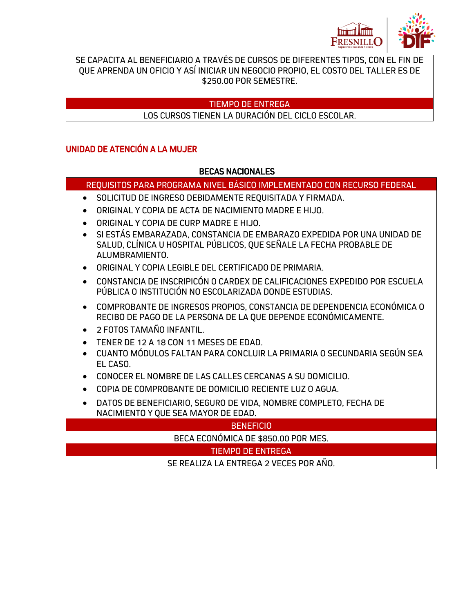

SE CAPACITA AL BENEFICIARIO A TRAVÉS DE CURSOS DE DIFERENTES TIPOS, CON EL FIN DE QUE APRENDA UN OFICIO Y ASÍ INICIAR UN NEGOCIO PROPIO, EL COSTO DEL TALLER ES DE \$250.00 POR SEMESTRE.

## TIEMPO DE ENTREGA

## LOS CURSOS TIENEN LA DURACIÓN DEL CICLO ESCOLAR.

## UNIDAD DE ATENCIÓN A LA MUJER

## BECAS NACIONALES

## REQUISITOS PARA PROGRAMA NIVEL BÁSICO IMPLEMENTADO CON RECURSO FEDERAL

- SOLICITUD DE INGRESO DEBIDAMENTE REQUISITADA Y FIRMADA.
- ORIGINAL Y COPIA DE ACTA DE NACIMIENTO MADRE E HIJO.
- ORIGINAL Y COPIA DE CURP MADRE E HIJO.
- SI ESTÁS EMBARAZADA, CONSTANCIA DE EMBARAZO EXPEDIDA POR UNA UNIDAD DE SALUD, CLÍNICA U HOSPITAL PÚBLICOS, QUE SEÑALE LA FECHA PROBABLE DE ALUMBRAMIENTO.
- ORIGINAL Y COPIA LEGIBLE DEL CERTIFICADO DE PRIMARIA.
- CONSTANCIA DE INSCRIPICÓN O CARDEX DE CALIFICACIONES EXPEDIDO POR ESCUELA PÚBLICA O INSTITUCIÓN NO ESCOLARIZADA DONDE ESTUDIAS.
- COMPROBANTE DE INGRESOS PROPIOS, CONSTANCIA DE DEPENDENCIA ECONÓMICA O RECIBO DE PAGO DE LA PERSONA DE LA QUE DEPENDE ECONÓMICAMENTE.
- 2 FOTOS TAMAÑO INFANTIL.
- TENER DE 12 A 18 CON 11 MESES DE EDAD.
- CUANTO MÓDULOS FALTAN PARA CONCLUIR LA PRIMARIA O SECUNDARIA SEGÚN SEA EL CASO.
- CONOCER EL NOMBRE DE LAS CALLES CERCANAS A SU DOMICILIO.
- COPIA DE COMPROBANTE DE DOMICILIO RECIENTE LUZ O AGUA.
- DATOS DE BENEFICIARIO, SEGURO DE VIDA, NOMBRE COMPLETO, FECHA DE NACIMIENTO Y QUE SEA MAYOR DE EDAD.

| <b>BENEFICIO</b>                       |
|----------------------------------------|
| BECA ECONÓMICA DE \$850.00 POR MES.    |
| TIEMPO DE ENTREGA                      |
| SE REALIZA LA ENTREGA 2 VECES POR AÑO. |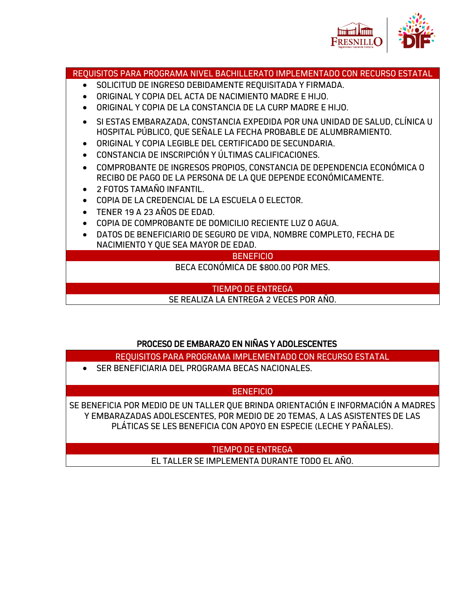

# REQUISITOS PARA PROGRAMA NIVEL BACHILLERATO IMPLEMENTADO CON RECURSO ESTATAL SOLICITUD DE INGRESO DEBIDAMENTE REQUISITADA Y FIRMADA. ORIGINAL Y COPIA DEL ACTA DE NACIMIENTO MADRE E HIJO. ORIGINAL Y COPIA DE LA CONSTANCIA DE LA CURP MADRE E HIJO. SI ESTAS EMBARAZADA, CONSTANCIA EXPEDIDA POR UNA UNIDAD DE SALUD, CLÍNICA U HOSPITAL PÚBLICO, QUE SEÑALE LA FECHA PROBABLE DE ALUMBRAMIENTO. ORIGINAL Y COPIA LEGIBLE DEL CERTIFICADO DE SECUNDARIA. CONSTANCIA DE INSCRIPCIÓN Y ÚLTIMAS CALIFICACIONES. COMPROBANTE DE INGRESOS PROPIOS, CONSTANCIA DE DEPENDENCIA ECONÓMICA O RECIBO DE PAGO DE LA PERSONA DE LA QUE DEPENDE ECONÓMICAMENTE. 2 FOTOS TAMAÑO INFANTIL. COPIA DE LA CREDENCIAL DE LA ESCUELA O ELECTOR. TENER 19 A 23 AÑOS DE EDAD. COPIA DE COMPROBANTE DE DOMICILIO RECIENTE LUZ O AGUA. DATOS DE BENEFICIARIO DE SEGURO DE VIDA, NOMBRE COMPLETO, FECHA DE NACIMIENTO Y QUE SEA MAYOR DE EDAD. **BENEFICIO** BECA ECONÓMICA DE \$800.00 POR MES. TIEMPO DE ENTREGA SE REALIZA LA ENTREGA 2 VECES POR AÑO.

# PROCESO DE EMBARAZO EN NIÑAS Y ADOLESCENTES

REQUISITOS PARA PROGRAMA IMPLEMENTADO CON RECURSO ESTATAL

SER BENEFICIARIA DEL PROGRAMA BECAS NACIONALES.

# **BENEFICIO**

SE BENEFICIA POR MEDIO DE UN TALLER QUE BRINDA ORIENTACIÓN E INFORMACIÓN A MADRES Y EMBARAZADAS ADOLESCENTES, POR MEDIO DE 20 TEMAS, A LAS ASISTENTES DE LAS PLÁTICAS SE LES BENEFICIA CON APOYO EN ESPECIE (LECHE Y PAÑALES).

# TIEMPO DE ENTREGA

EL TALLER SE IMPLEMENTA DURANTE TODO EL AÑO.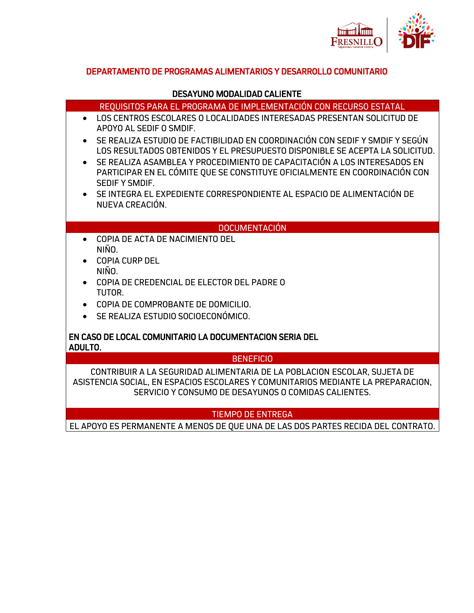

## DEPARTAMENTO DE PROGRAMAS ALIMENTARIOS Y DESARROLLO COMUNITARIO

#### DESAYUNO MODALIDAD CALIENTE

REQUISITOS PARA EL PROGRAMA DE IMPLEMENTACIÓN CON RECURSO ESTATAL

- LOS CENTROS ESCOLARES O LOCALIDADES INTERESADAS PRESENTAN SOLICITUD DE APOYO AL SEDIF O SMDIF.
- SE REALIZA ESTUDIO DE FACTIBILIDAD EN COORDINACIÓN CON SEDIF Y SMDIF Y SEGÚN LOS RESULTADOS OBTENIDOS Y EL PRESUPUESTO DISPONIBLE SE ACEPTA LA SOLICITUD.
- SE REALIZA ASAMBLEA Y PROCEDIMIENTO DE CAPACITACIÓN A LOS INTERESADOS EN PARTICIPAR EN EL CÓMITE QUE SE CONSTITUYE OFICIALMENTE EN COORDINACIÓN CON SEDIF Y SMDIF.
- SE INTEGRA EL EXPEDIENTE CORRESPONDIENTE AL ESPACIO DE ALIMENTACIÓN DE NUEVA CREACIÓN.

#### DOCUMENTACIÓN

- COPIA DE ACTA DE NACIMIENTO DEL NIÑO.
- COPIA CURP DEL NIÑO.
- COPIA DE CREDENCIAL DE ELECTOR DEL PADRE O TUTOR.
- COPIA DE COMPROBANTE DE DOMICILIO.
- SE REALIZA ESTUDIO SOCIOECONÓMICO.

#### EN CASO DE LOCAL COMUNITARIO LA DOCUMENTACION SERIA DEL ADULTO.

#### **BENEFICIO**

CONTRIBUIR A LA SEGURIDAD ALIMENTARIA DE LA POBLACION ESCOLAR, SUJETA DE ASISTENCIA SOCIAL, EN ESPACIOS ESCOLARES Y COMUNITARIOS MEDIANTE LA PREPARACION, SERVICIO Y CONSUMO DE DESAYUNOS O COMIDAS CALIENTES.

## TIEMPO DE ENTREGA

EL APOYO ES PERMANENTE A MENOS DE QUE UNA DE LAS DOS PARTES RECIDA DEL CONTRATO.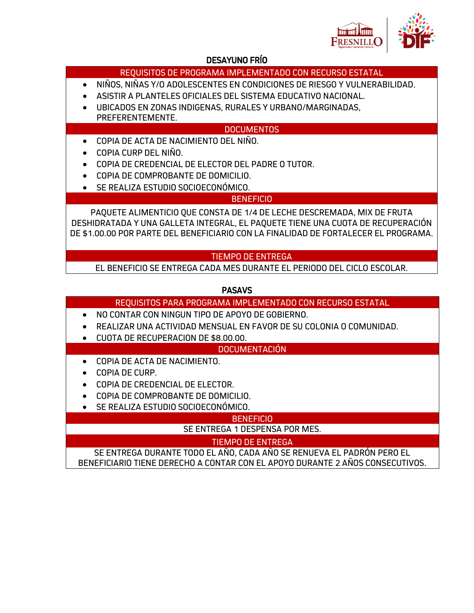

## DESAYUNO FRÍO

## REQUISITOS DE PROGRAMA IMPLEMENTADO CON RECURSO ESTATAL

- NIÑOS, NIÑAS Y/O ADOLESCENTES EN CONDICIONES DE RIESGO Y VULNERABILIDAD.
- ASISTIR A PLANTELES OFICIALES DEL SISTEMA EDUCATIVO NACIONAL.
- UBICADOS EN ZONAS INDIGENAS, RURALES Y URBANO/MARGINADAS, PREFERENTEMENTE.

## DOCUMENTOS

- COPIA DE ACTA DE NACIMIENTO DEL NIÑO.
- COPIA CURP DEL NIÑO.
- COPIA DE CREDENCIAL DE ELECTOR DEL PADRE O TUTOR.
- COPIA DE COMPROBANTE DE DOMICILIO.
- SE REALIZA ESTUDIO SOCIOECONÓMICO.

## **BENEFICIO**

PAQUETE ALIMENTICIO QUE CONSTA DE 1/4 DE LECHE DESCREMADA, MIX DE FRUTA DESHIDRATADA Y UNA GALLETA INTEGRAL, EL PAQUETE TIENE UNA CUOTA DE RECUPERACIÓN DE \$1.00.00 POR PARTE DEL BENEFICIARIO CON LA FINALIDAD DE FORTALECER EL PROGRAMA.

## TIEMPO DE ENTREGA

EL BENEFICIO SE ENTREGA CADA MES DURANTE EL PERIODO DEL CICLO ESCOLAR.

## PASAVS

- REQUISITOS PARA PROGRAMA IMPLEMENTADO CON RECURSO ESTATAL
- NO CONTAR CON NINGUN TIPO DE APOYO DE GOBIERNO.
- REALIZAR UNA ACTIVIDAD MENSUAL EN FAVOR DE SU COLONIA O COMUNIDAD.
- CUOTA DE RECUPERACION DE \$8.00.00.

## DOCUMENTACIÓN

- COPIA DE ACTA DE NACIMIENTO.
- COPIA DE CURP.
- COPIA DE CREDENCIAL DE ELECTOR.
- COPIA DE COMPROBANTE DE DOMICILIO.
- SE REALIZA ESTUDIO SOCIOECONÓMICO.

#### **BENEFICIO**

SE ENTREGA 1 DESPENSA POR MES.

## TIEMPO DE ENTREGA

SE ENTREGA DURANTE TODO EL AÑO, CADA AÑO SE RENUEVA EL PADRÓN PERO EL BENEFICIARIO TIENE DERECHO A CONTAR CON EL APOYO DURANTE 2 AÑOS CONSECUTIVOS.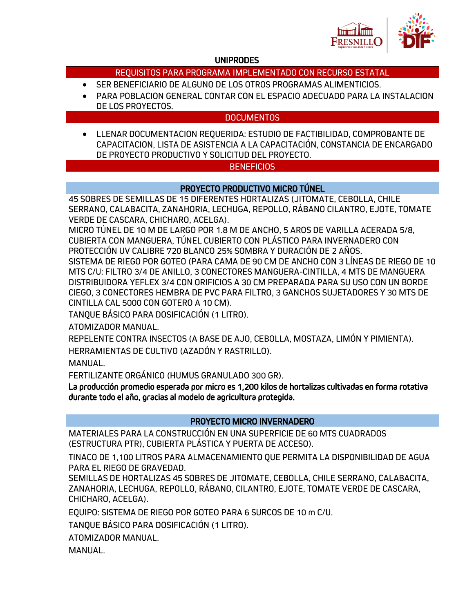

## UNIPRODES

| REQUISITOS PARA PROGRAMA IMPLEMENTADO CON RECURSO ESTATAL                                                                                                                                                                                                                                                                                                                                                                                                                                                                                                                                                                                                                                                                                                                                                                                                                                                                                                                                                                                                                                                                                                                                                                                                                                       |
|-------------------------------------------------------------------------------------------------------------------------------------------------------------------------------------------------------------------------------------------------------------------------------------------------------------------------------------------------------------------------------------------------------------------------------------------------------------------------------------------------------------------------------------------------------------------------------------------------------------------------------------------------------------------------------------------------------------------------------------------------------------------------------------------------------------------------------------------------------------------------------------------------------------------------------------------------------------------------------------------------------------------------------------------------------------------------------------------------------------------------------------------------------------------------------------------------------------------------------------------------------------------------------------------------|
| SER BENEFICIARIO DE ALGUNO DE LOS OTROS PROGRAMAS ALIMENTICIOS.<br>PARA POBLACION GENERAL CONTAR CON EL ESPACIO ADECUADO PARA LA INSTALACION                                                                                                                                                                                                                                                                                                                                                                                                                                                                                                                                                                                                                                                                                                                                                                                                                                                                                                                                                                                                                                                                                                                                                    |
| DE LOS PROYECTOS.<br><b>DOCUMENTOS</b>                                                                                                                                                                                                                                                                                                                                                                                                                                                                                                                                                                                                                                                                                                                                                                                                                                                                                                                                                                                                                                                                                                                                                                                                                                                          |
| LLENAR DOCUMENTACION REQUERIDA: ESTUDIO DE FACTIBILIDAD, COMPROBANTE DE<br>CAPACITACION, LISTA DE ASISTENCIA A LA CAPACITACIÓN, CONSTANCIA DE ENCARGADO<br>DE PROYECTO PRODUCTIVO Y SOLICITUD DEL PROYECTO.                                                                                                                                                                                                                                                                                                                                                                                                                                                                                                                                                                                                                                                                                                                                                                                                                                                                                                                                                                                                                                                                                     |
| <b>BENEFICIOS</b>                                                                                                                                                                                                                                                                                                                                                                                                                                                                                                                                                                                                                                                                                                                                                                                                                                                                                                                                                                                                                                                                                                                                                                                                                                                                               |
| PROYECTO PRODUCTIVO MICRO TÚNEL                                                                                                                                                                                                                                                                                                                                                                                                                                                                                                                                                                                                                                                                                                                                                                                                                                                                                                                                                                                                                                                                                                                                                                                                                                                                 |
| 45 SOBRES DE SEMILLAS DE 15 DIFERENTES HORTALIZAS (JITOMATE, CEBOLLA, CHILE<br>SERRANO, CALABACITA, ZANAHORIA, LECHUGA, REPOLLO, RÁBANO CILANTRO, EJOTE, TOMATE<br>VERDE DE CASCARA, CHICHARO, ACELGA).<br>MICRO TÚNEL DE 10 M DE LARGO POR 1.8 M DE ANCHO, 5 AROS DE VARILLA ACERADA 5/8,<br>CUBIERTA CON MANGUERA, TÚNEL CUBIERTO CON PLÁSTICO PARA INVERNADERO CON<br>PROTECCIÓN UV CALIBRE 720 BLANCO 25% SOMBRA Y DURACIÓN DE 2 AÑOS.<br>SISTEMA DE RIEGO POR GOTEO (PARA CAMA DE 90 CM DE ANCHO CON 3 LÍNEAS DE RIEGO DE 10<br>MTS C/U: FILTRO 3/4 DE ANILLO, 3 CONECTORES MANGUERA-CINTILLA, 4 MTS DE MANGUERA<br>DISTRIBUIDORA YEFLEX 3/4 CON ORIFICIOS A 30 CM PREPARADA PARA SU USO CON UN BORDE<br>CIEGO, 3 CONECTORES HEMBRA DE PVC PARA FILTRO, 3 GANCHOS SUJETADORES Y 30 MTS DE<br>CINTILLA CAL 5000 CON GOTERO A 10 CM).<br>TANQUE BÁSICO PARA DOSIFICACIÓN (1 LITRO).<br>ATOMIZADOR MANUAL.<br>REPELENTE CONTRA INSECTOS (A BASE DE AJO, CEBOLLA, MOSTAZA, LIMÓN Y PIMIENTA).<br>HERRAMIENTAS DE CULTIVO (AZADÓN Y RASTRILLO).<br><b>MANUAL.</b><br>FERTILIZANTE ORGÁNICO (HUMUS GRANULADO 300 GR).<br>La producción promedio esperada por micro es 1,200 kilos de hortalizas cultivadas en forma rotativa<br>durante todo el año, gracias al modelo de agricultura protegida. |
| PROYECTO MICRO INVERNADERO                                                                                                                                                                                                                                                                                                                                                                                                                                                                                                                                                                                                                                                                                                                                                                                                                                                                                                                                                                                                                                                                                                                                                                                                                                                                      |
| MATERIALES PARA LA CONSTRUCCIÓN EN UNA SUPERFICIE DE 60 MTS CUADRADOS<br>(ESTRUCTURA PTR), CUBIERTA PLÁSTICA Y PUERTA DE ACCESO).<br>TINACO DE 1,100 LITROS PARA ALMACENAMIENTO QUE PERMITA LA DISPONIBILIDAD DE AGUA                                                                                                                                                                                                                                                                                                                                                                                                                                                                                                                                                                                                                                                                                                                                                                                                                                                                                                                                                                                                                                                                           |
| PARA EL RIEGO DE GRAVEDAD.<br>SEMILLAS DE HORTALIZAS 45 SOBRES DE JITOMATE, CEBOLLA, CHILE SERRANO, CALABACITA,<br>ZANAHORIA, LECHUGA, REPOLLO, RÁBANO, CILANTRO, EJOTE, TOMATE VERDE DE CASCARA,<br>CHICHARO, ACELGA).                                                                                                                                                                                                                                                                                                                                                                                                                                                                                                                                                                                                                                                                                                                                                                                                                                                                                                                                                                                                                                                                         |
| EQUIPO: SISTEMA DE RIEGO POR GOTEO PARA 6 SURCOS DE 10 m C/U.                                                                                                                                                                                                                                                                                                                                                                                                                                                                                                                                                                                                                                                                                                                                                                                                                                                                                                                                                                                                                                                                                                                                                                                                                                   |
| TANQUE BÁSICO PARA DOSIFICACIÓN (1 LITRO).                                                                                                                                                                                                                                                                                                                                                                                                                                                                                                                                                                                                                                                                                                                                                                                                                                                                                                                                                                                                                                                                                                                                                                                                                                                      |
| ATOMIZADOR MANUAL.                                                                                                                                                                                                                                                                                                                                                                                                                                                                                                                                                                                                                                                                                                                                                                                                                                                                                                                                                                                                                                                                                                                                                                                                                                                                              |
| MANUAL.                                                                                                                                                                                                                                                                                                                                                                                                                                                                                                                                                                                                                                                                                                                                                                                                                                                                                                                                                                                                                                                                                                                                                                                                                                                                                         |
|                                                                                                                                                                                                                                                                                                                                                                                                                                                                                                                                                                                                                                                                                                                                                                                                                                                                                                                                                                                                                                                                                                                                                                                                                                                                                                 |
|                                                                                                                                                                                                                                                                                                                                                                                                                                                                                                                                                                                                                                                                                                                                                                                                                                                                                                                                                                                                                                                                                                                                                                                                                                                                                                 |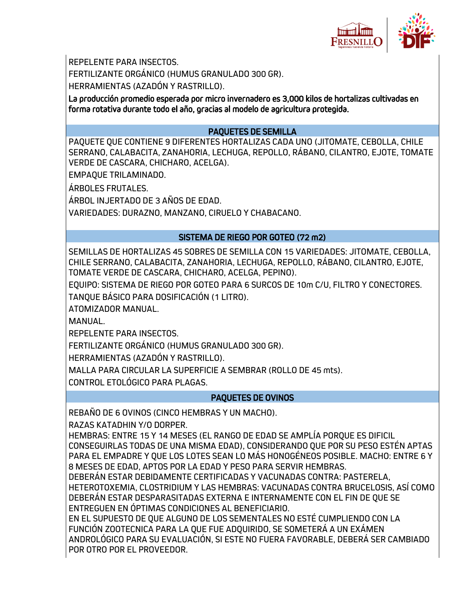

REPELENTE PARA INSECTOS. FERTILIZANTE ORGÁNICO (HUMUS GRANULADO 300 GR). HERRAMIENTAS (AZADÓN Y RASTRILLO).

La producción promedio esperada por micro invernadero es 3,000 kilos de hortalizas cultivadas en forma rotativa durante todo el año, gracias al modelo de agricultura protegida.

## PAQUETES DE SEMILLA

PAQUETE QUE CONTIENE 9 DIFERENTES HORTALIZAS CADA UNO (JITOMATE, CEBOLLA, CHILE SERRANO, CALABACITA, ZANAHORIA, LECHUGA, REPOLLO, RÁBANO, CILANTRO, EJOTE, TOMATE VERDE DE CASCARA, CHICHARO, ACELGA).

EMPAQUE TRILAMINADO.

ÁRBOLES FRUTALES.

ÁRBOL INJERTADO DE 3 AÑOS DE EDAD.

VARIEDADES: DURAZNO, MANZANO, CIRUELO Y CHABACANO.

## SISTEMA DE RIEGO POR GOTEO (72 m2)

SEMILLAS DE HORTALIZAS 45 SOBRES DE SEMILLA CON 15 VARIEDADES: JITOMATE, CEBOLLA, CHILE SERRANO, CALABACITA, ZANAHORIA, LECHUGA, REPOLLO, RÁBANO, CILANTRO, EJOTE, TOMATE VERDE DE CASCARA, CHICHARO, ACELGA, PEPINO).

EQUIPO: SISTEMA DE RIEGO POR GOTEO PARA 6 SURCOS DE 10m C/U, FILTRO Y CONECTORES. TANQUE BÁSICO PARA DOSIFICACIÓN (1 LITRO).

ATOMIZADOR MANUAL.

MANUAL.

REPELENTE PARA INSECTOS.

FERTILIZANTE ORGÁNICO (HUMUS GRANULADO 300 GR).

HERRAMIENTAS (AZADÓN Y RASTRILLO).

MALLA PARA CIRCULAR LA SUPERFICIE A SEMBRAR (ROLLO DE 45 mts).

CONTROL ETOLÓGICO PARA PLAGAS.

## PAQUETES DE OVINOS

REBAÑO DE 6 OVINOS (CINCO HEMBRAS Y UN MACHO).

RAZAS KATADHIN Y/O DORPER.

HEMBRAS: ENTRE 15 Y 14 MESES (EL RANGO DE EDAD SE AMPLÍA PORQUE ES DIFICIL CONSEGUIRLAS TODAS DE UNA MISMA EDAD), CONSIDERANDO QUE POR SU PESO ESTÉN APTAS PARA EL EMPADRE Y QUE LOS LOTES SEAN LO MÁS HONOGÉNEOS POSIBLE. MACHO: ENTRE 6 Y 8 MESES DE EDAD, APTOS POR LA EDAD Y PESO PARA SERVIR HEMBRAS.

DEBERÁN ESTAR DEBIDAMENTE CERTIFICADAS Y VACUNADAS CONTRA: PASTERELA, HETEROTOXEMIA, CLOSTRIDIUM Y LAS HEMBRAS: VACUNADAS CONTRA BRUCELOSIS, ASÍ COMO DEBERÁN ESTAR DESPARASITADAS EXTERNA E INTERNAMENTE CON EL FIN DE QUE SE ENTREGUEN EN ÓPTIMAS CONDICIONES AL BENEFICIARIO.

EN EL SUPUESTO DE QUE ALGUNO DE LOS SEMENTALES NO ESTÉ CUMPLIENDO CON LA FUNCIÓN ZOOTECNICA PARA LA QUE FUE ADQUIRIDO, SE SOMETERÁ A UN EXÁMEN ANDROLÓGICO PARA SU EVALUACIÓN, SI ESTE NO FUERA FAVORABLE, DEBERÁ SER CAMBIADO POR OTRO POR EL PROVEEDOR.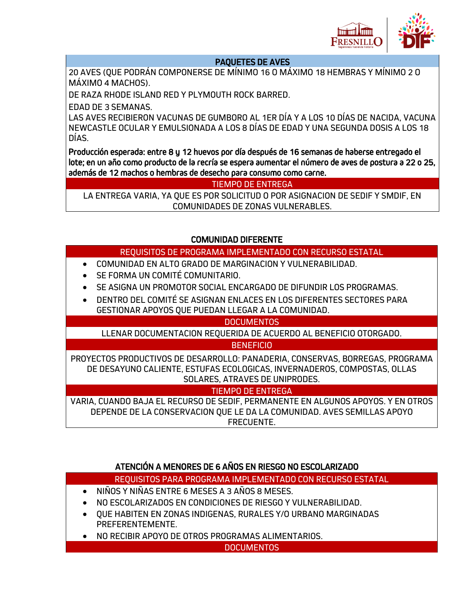

#### PAQUETES DE AVES

20 AVES (QUE PODRÁN COMPONERSE DE MÍNIMO 16 O MÁXIMO 18 HEMBRAS Y MÍNIMO 2 O MÁXIMO 4 MACHOS).

DE RAZA RHODE ISLAND RED Y PLYMOUTH ROCK BARRED.

EDAD DE 3 SEMANAS.

LAS AVES RECIBIERON VACUNAS DE GUMBORO AL 1ER DÍA Y A LOS 10 DÍAS DE NACIDA, VACUNA NEWCASTLE OCULAR Y EMULSIONADA A LOS 8 DÍAS DE EDAD Y UNA SEGUNDA DOSIS A LOS 18 DÍAS.

Producción esperada: entre 8 y 12 huevos por día después de 16 semanas de haberse entregado el lote; en un año como producto de la recría se espera aumentar el número de aves de postura a 22 o 25, además de 12 machos o hembras de desecho para consumo como carne.

TIEMPO DE ENTREGA

LA ENTREGA VARIA, YA QUE ES POR SOLICITUD O POR ASIGNACION DE SEDIF Y SMDIF, EN COMUNIDADES DE ZONAS VULNERABLES.

## COMUNIDAD DIFERENTE

## REQUISITOS DE PROGRAMA IMPLEMENTADO CON RECURSO ESTATAL

- COMUNIDAD EN ALTO GRADO DE MARGINACION Y VULNERABILIDAD.
- SE FORMA UN COMITÉ COMUNITARIO.
- SE ASIGNA UN PROMOTOR SOCIAL ENCARGADO DE DIFUNDIR LOS PROGRAMAS.
- DENTRO DEL COMITÉ SE ASIGNAN ENLACES EN LOS DIFERENTES SECTORES PARA GESTIONAR APOYOS QUE PUEDAN LLEGAR A LA COMUNIDAD.

#### **DOCUMENTOS**

LLENAR DOCUMENTACION REQUERIDA DE ACUERDO AL BENEFICIO OTORGADO.

**BENEFICIO** 

PROYECTOS PRODUCTIVOS DE DESARROLLO: PANADERIA, CONSERVAS, BORREGAS, PROGRAMA DE DESAYUNO CALIENTE, ESTUFAS ECOLOGICAS, INVERNADEROS, COMPOSTAS, OLLAS SOLARES, ATRAVES DE UNIPRODES.

## TIEMPO DE ENTREGA

VARIA, CUANDO BAJA EL RECURSO DE SEDIF, PERMANENTE EN ALGUNOS APOYOS. Y EN OTROS DEPENDE DE LA CONSERVACION QUE LE DA LA COMUNIDAD. AVES SEMILLAS APOYO FRECUENTE.

# ATENCIÓN A MENORES DE 6 AÑOS EN RIESGO NO ESCOLARIZADO

## REQUISITOS PARA PROGRAMA IMPLEMENTADO CON RECURSO ESTATAL

- NIÑOS Y NIÑAS ENTRE 6 MESES A 3 AÑOS 8 MESES.
- NO ESCOLARIZADOS EN CONDICIONES DE RIESGO Y VULNERABILIDAD.
- QUE HABITEN EN ZONAS INDIGENAS, RURALES Y/O URBANO MARGINADAS PREFERENTEMENTE.
- NO RECIBIR APOYO DE OTROS PROGRAMAS ALIMENTARIOS.

DOCUMENTOS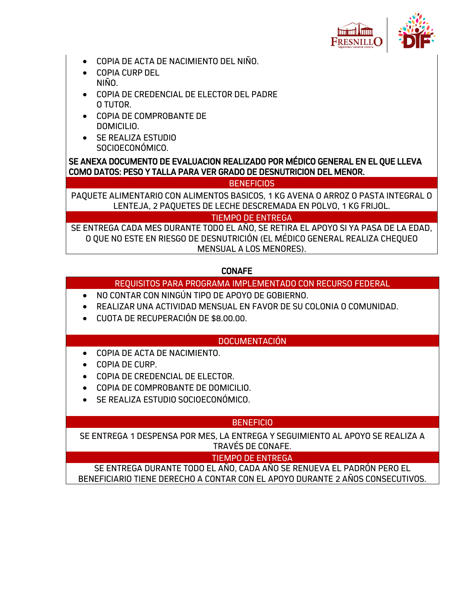

- COPIA DE ACTA DE NACIMIENTO DEL NIÑO.
- COPIA CURP DEL NIÑO.
- COPIA DE CREDENCIAL DE ELECTOR DEL PADRE O TUTOR.
- COPIA DE COMPROBANTE DE DOMICILIO.
- SE REALIZA ESTUDIO SOCIOECONÓMICO.

SE ANEXA DOCUMENTO DE EVALUACION REALIZADO POR MÉDICO GENERAL EN EL QUE LLEVA COMO DATOS: PESO Y TALLA PARA VER GRADO DE DESNUTRICION DEL MENOR.

BENEFICIOS

PAQUETE ALIMENTARIO CON ALIMENTOS BASICOS, 1 KG AVENA O ARROZ O PASTA INTEGRAL O LENTEJA, 2 PAQUETES DE LECHE DESCREMADA EN POLVO, 1 KG FRIJOL.

TIEMPO DE ENTREGA

SE ENTREGA CADA MES DURANTE TODO EL AÑO, SE RETIRA EL APOYO SI YA PASA DE LA EDAD, O QUE NO ESTE EN RIESGO DE DESNUTRICIÓN (EL MÉDICO GENERAL REALIZA CHEQUEO MENSUAL A LOS MENORES).

## CONAFE

## REQUISITOS PARA PROGRAMA IMPLEMENTADO CON RECURSO FEDERAL

- NO CONTAR CON NINGÚN TIPO DE APOYO DE GOBIERNO.
- REALIZAR UNA ACTIVIDAD MENSUAL EN FAVOR DE SU COLONIA O COMUNIDAD.
- CUOTA DE RECUPERACIÓN DE \$8.00.00.

## DOCUMENTACIÓN

- COPIA DE ACTA DE NACIMIENTO.
- COPIA DE CURP.
- COPIA DE CREDENCIAL DE ELECTOR.
- COPIA DE COMPROBANTE DE DOMICILIO.
- SE REALIZA ESTUDIO SOCIOECONÓMICO.

## **BENEFICIO**

SE ENTREGA 1 DESPENSA POR MES, LA ENTREGA Y SEGUIMIENTO AL APOYO SE REALIZA A TRAVÉS DE CONAFE.

## TIEMPO DE ENTREGA

SE ENTREGA DURANTE TODO EL AÑO, CADA AÑO SE RENUEVA EL PADRÓN PERO EL BENEFICIARIO TIENE DERECHO A CONTAR CON EL APOYO DURANTE 2 AÑOS CONSECUTIVOS.